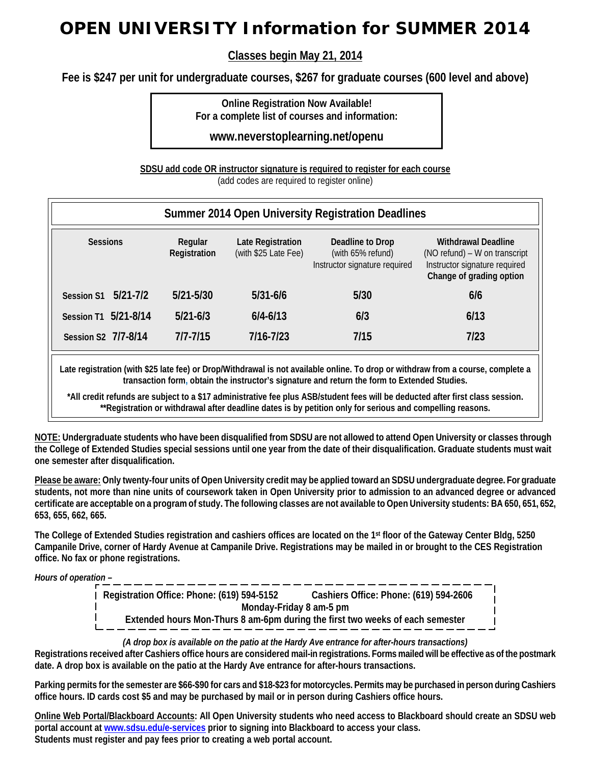## **OPEN UNIVERSITY Information for SUMMER 2014**

**Classes begin May 21, 2014**

**Fee is \$247 per unit for undergraduate courses, \$267 for graduate courses (600 level and above)**

**Online Registration Now Available! For a complete list of courses and information:**

**www.neverstoplearning.net/openu**

**SDSU add code OR instructor signature is required to register for each course**

(add codes are required to register online)

| Summer 2014 Open University Registration Deadlines |                         |                                           |                                                                        |                                                                                                                          |  |  |  |  |  |
|----------------------------------------------------|-------------------------|-------------------------------------------|------------------------------------------------------------------------|--------------------------------------------------------------------------------------------------------------------------|--|--|--|--|--|
| <b>Sessions</b>                                    | Regular<br>Registration | Late Registration<br>(with \$25 Late Fee) | Deadline to Drop<br>(with 65% refund)<br>Instructor signature required | <b>Withdrawal Deadline</b><br>(NO refund) – W on transcript<br>Instructor signature required<br>Change of grading option |  |  |  |  |  |
| $5/21 - 7/2$<br><b>Session S1</b>                  | $5/21 - 5/30$           | $5/31 - 6/6$                              | 5/30                                                                   | 6/6                                                                                                                      |  |  |  |  |  |
| Session T1 5/21-8/14                               | $5/21 - 6/3$            | $6/4 - 6/13$                              | 6/3                                                                    | 6/13                                                                                                                     |  |  |  |  |  |
| Session S2 7/7-8/14                                | $7/7 - 7/15$            | $7/16 - 7/23$                             | 7/15                                                                   | 7/23                                                                                                                     |  |  |  |  |  |

**Late registration (with \$25 late fee) or Drop/Withdrawal is not available online. To drop or withdraw from a course, complete a transaction form, obtain the instructor's signature and return the form to Extended Studies.**

**\*All credit refunds are subject to a \$17 administrative fee plus ASB/student fees will be deducted after first class session. \*\*Registration or withdrawal after deadline dates is by petition only for serious and compelling reasons.**

**NOTE: Undergraduate students who have been disqualified from SDSU are not allowed to attend Open University or classes through the College of Extended Studies special sessions until one year from the date of their disqualification. Graduate students must wait one semester after disqualification.**

**Please be aware: Only twenty-four units of Open University credit may be applied toward an SDSU undergraduate degree. For graduate students, not more than nine units of coursework taken in Open University prior to admission to an advanced degree or advanced certificate are acceptable on a program of study. The following classes are not available to Open University students: BA 650, 651, 652, 653, 655, 662, 665.**

**The College of Extended Studies registration and cashiers offices are located on the 1st floor of the Gateway Center Bldg, 5250 Campanile Drive, corner of Hardy Avenue at Campanile Drive. Registrations may be mailed in or brought to the CES Registration office. No fax or phone registrations.**

*Hours of operation –*

**Registration Office: Phone: (619) 594-5152 Cashiers Office: Phone: (619) 594-2606 Monday-Friday 8 am-5 pm Extended hours Mon-Thurs 8 am-6pm during the first two weeks of each semester**

*(A drop box is available on the patio at the Hardy Ave entrance for after-hours transactions)*

**Registrations received after Cashiers office hours are considered mail-in registrations. Forms mailed will be effective as of the postmark date. A drop box is available on the patio at the Hardy Ave entrance for after-hours transactions.**

**Parking permits for the semester are \$66-\$90 for cars and \$18-\$23 for motorcycles. Permits may be purchased in person during Cashiers office hours. ID cards cost \$5 and may be purchased by mail or in person during Cashiers office hours.**

**Online Web Portal/Blackboard Accounts: All Open University students who need access to Blackboard should create an SDSU web portal account at [www.sdsu.edu/e-services](http://www.sdsu.edu/e-services) prior to signing into Blackboard to access your class. Students must register and pay fees prior to creating a web portal account.**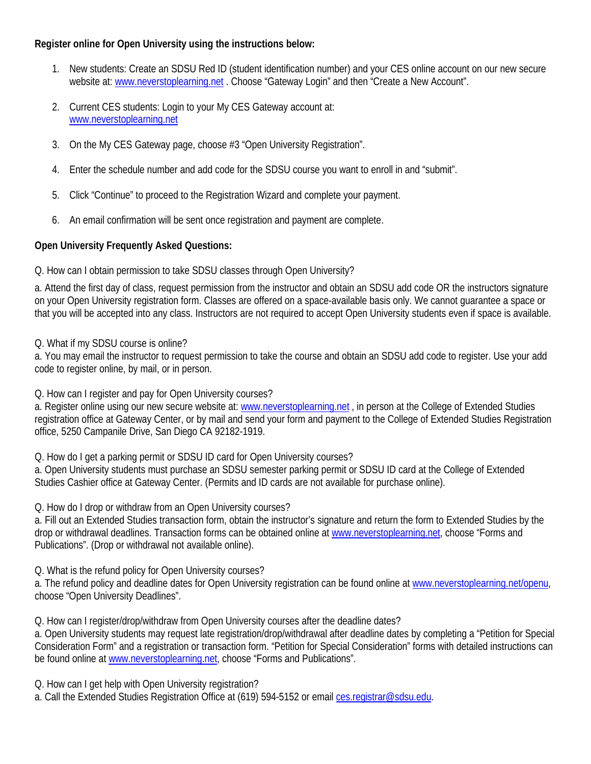## **Register online for Open University using the instructions below:**

- 1. New students: Create an SDSU Red ID (student identification number) and your CES online account on our new secure website at: [www.neverstoplearning.net](http://www.neverstoplearning.net/) . Choose "Gateway Login" and then "Create a New Account".
- 2. Current CES students: Login to your My CES Gateway account at: [www.neverstoplearning.net](http://www.neverstoplearning.net/)
- 3. On the My CES Gateway page, choose #3 "Open University Registration".
- 4. Enter the schedule number and add code for the SDSU course you want to enroll in and "submit".
- 5. Click "Continue" to proceed to the Registration Wizard and complete your payment.
- 6. An email confirmation will be sent once registration and payment are complete.

## **Open University Frequently Asked Questions:**

Q. How can I obtain permission to take SDSU classes through Open University?

a. Attend the first day of class, request permission from the instructor and obtain an SDSU add code OR the instructors signature on your Open University registration form. Classes are offered on a space-available basis only. We cannot guarantee a space or that you will be accepted into any class. Instructors are not required to accept Open University students even if space is available.

Q. What if my SDSU course is online?

a. You may email the instructor to request permission to take the course and obtain an SDSU add code to register. Use your add code to register online, by mail, or in person.

Q. How can I register and pay for Open University courses?

a. Register online using our new secure website at[: www.neverstoplearning.net](http://www.neverstoplearning.net/) , in person at the College of Extended Studies registration office at Gateway Center, or by mail and send your form and payment to the College of Extended Studies Registration office, 5250 Campanile Drive, San Diego CA 92182-1919.

Q. How do I get a parking permit or SDSU ID card for Open University courses?

a. Open University students must purchase an SDSU semester parking permit or SDSU ID card at the College of Extended Studies Cashier office at Gateway Center. (Permits and ID cards are not available for purchase online).

Q. How do I drop or withdraw from an Open University courses?

a. Fill out an Extended Studies transaction form, obtain the instructor's signature and return the form to Extended Studies by the drop or withdrawal deadlines. Transaction forms can be obtained online at [www.neverstoplearning.net,](http://www.neverstoplearning.net/) choose "Forms and Publications". (Drop or withdrawal not available online).

Q. What is the refund policy for Open University courses?

a. The refund policy and deadline dates for Open University registration can be found online at [www.neverstoplearning.net/openu,](http://www.neverstoplearning.net/openu) choose "Open University Deadlines".

Q. How can I register/drop/withdraw from Open University courses after the deadline dates?

a. Open University students may request late registration/drop/withdrawal after deadline dates by completing a "Petition for Special Consideration Form" and a registration or transaction form. "Petition for Special Consideration" forms with detailed instructions can be found online a[t www.neverstoplearning.net,](http://www.neverstoplearning.net/) choose "Forms and Publications".

Q. How can I get help with Open University registration?

a. Call the Extended Studies Registration Office at (619) 594-5152 or email [ces.registrar@sdsu.edu.](mailto:ces.registrar@sdsu.edu)